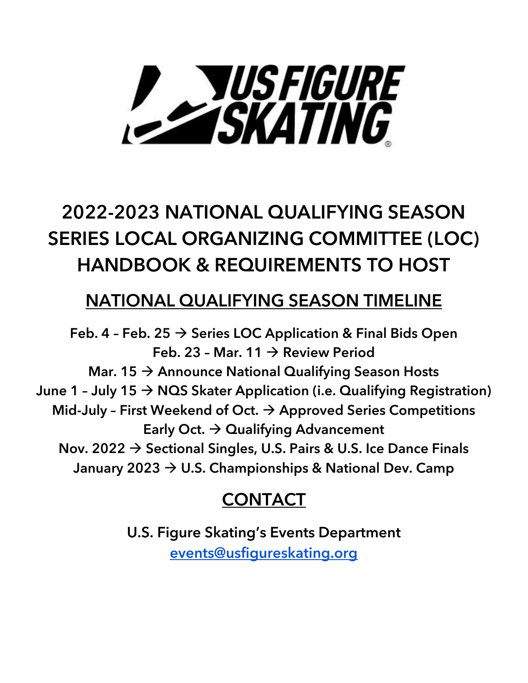# **P SUSFIGURE**

# 2022-2023 NATIONAL QUALIFYING SEASON SERIES LOCAL ORGANIZING COMMITTEE (LOC) HANDBOOK & REQUIREMENTS TO HOST

# NATIONAL QUALIFYING SEASON TIMELINE

Feb. 4 - Feb. 25  $\rightarrow$  Series LOC Application & Final Bids Open Feb. 23 - Mar. 11  $\rightarrow$  Review Period Mar. 15  $\rightarrow$  Announce National Qualifying Season Hosts June 1 - July 15  $\rightarrow$  NQS Skater Application (i.e. Qualifying Registration) Mid-July - First Weekend of Oct.  $\rightarrow$  Approved Series Competitions Early Oct.  $\rightarrow$  Qualifying Advancement Nov. 2022  $\rightarrow$  Sectional Singles, U.S. Pairs & U.S. Ice Dance Finals January 2023 → U.S. Championships & National Dev. Camp

# **CONTACT**

U.S. Figure Skating's Events Department [events@usfigureskating.org](mailto:events@usfigureskating.org)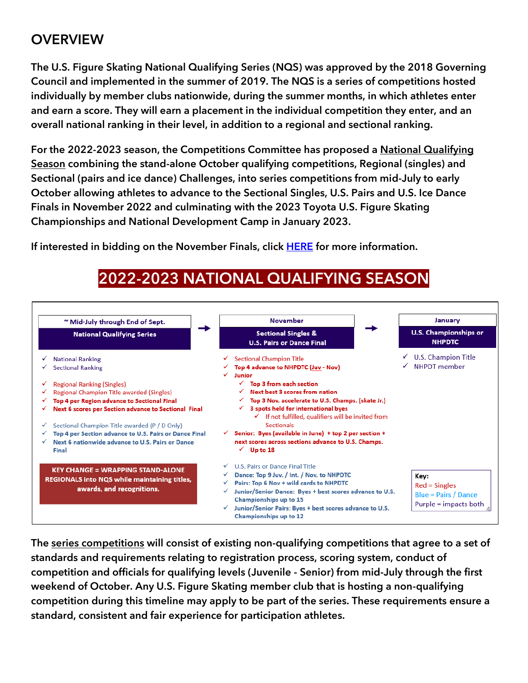## **OVERVIEW**

The U.S. Figure Skating **National Qualifying Series (NQS)** was approved by the 2018 Governing Council and implemented in the summer of 2019. The NQS is a series of competitions hosted individually by member clubs nationwide, during the summer months, in which athletes enter and earn a score. They will earn a placement in the individual competition they enter, and an overall national ranking in their level, in addition to a regional and sectional ranking.

For the 2022-2023 season, the Competitions Committee has proposed a National Qualifying Season combining the stand-alone October qualifying competitions, Regional (singles) and Sectional (pairs and ice dance) Challenges, into series competitions from mid-July to early October allowing athletes to advance to the Sectional Singles, U.S. Pairs and U.S. Ice Dance Finals in November 2022 and culminating with the 2023 Toyota U.S. Figure Skating Championships and National Development Camp in January 2023.

If interested in bidding on the November Finals, click [HERE](https://www.usfigureskating.org/support/host-an-event) for more information.



2022-2023 NATIONAL QUALIFYING SEASON

The series competitions will consist of existing non-qualifying competitions that agree to a set of standards and requirements relating to registration process, scoring system, conduct of competition and officials for qualifying levels (Juvenile - Senior) from mid-July through the first weekend of October. Any U.S. Figure Skating member club that is hosting a non-qualifying competition during this timeline may apply to be part of the series. These requirements ensure a standard, consistent and fair experience for participation athletes.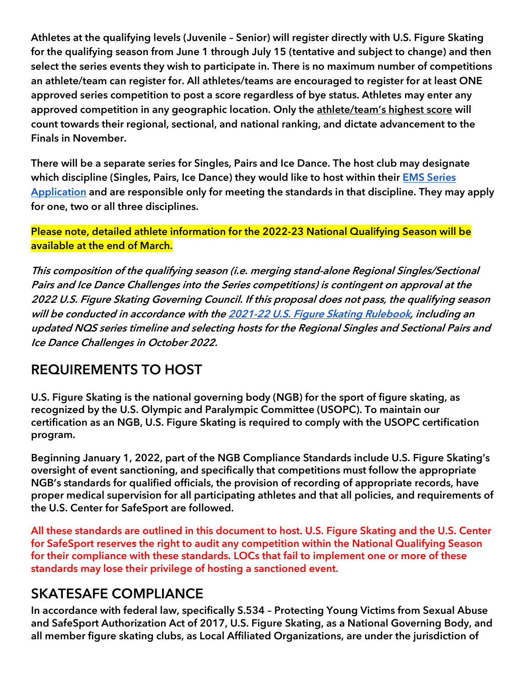Athletes at the qualifying levels (Juvenile – Senior) will register directly with U.S. Figure Skating for the qualifying season from June 1 through July 15 (tentative and subject to change) and then **select the series events they wish to participate in. There is no maximum number of competitions an athlete/team can register for. All athletes/teams are encouraged to register for at least ONE approved series competition to post a score regardless of bye status. Athletes may enter any approved competition in any geographic location. Only the athlete/team's highest score will count towards their regional, sectional, and national ranking, and dictate advancement to the Finals in November.**

**There will be a separate series for Singles, Pairs and Ice Dance. The host club may designate which discipline (Singles, Pairs, Ice Dance) they would like to host within their [EMS Series](https://public.3.basecamp.com/p/LUJuerDeY2vtX5YehrSNA9Dq)  [Application](https://public.3.basecamp.com/p/LUJuerDeY2vtX5YehrSNA9Dq) and are responsible only for meeting the standards in that discipline. They may apply for one, two or all three disciplines.**

**Please note, detailed athlete information for the 2022-23 National Qualifying Season will be available at the end of March.**

This composition of the qualifying season (i.e. merging stand-alone Regional Singles/Sectional Pairs and Ice Dance Challenges into the Series competitions) is contingent on approval at the 2022 U.S. Figure Skating Governing Council. If this proposal does not pass, the qualifying season will be conducted in accordance with th[e 2021-22 U.S. Figure Skating Rulebook,](https://www.usfigureskating.org/about/rules) including an updated NQS series timeline and selecting hosts for the Regional Singles and Sectional Pairs and Ice Dance Challenges in October 2022.

### REQUIREMENTS TO HOST

U.S. Figure Skating is the national governing body (NGB) for the sport of figure skating, as recognized by the U.S. Olympic and Paralympic Committee (USOPC). To maintain our certification as an NGB, U.S. Figure Skating is required to comply with the USOPC certification program.

Beginning January 1, 2022, part of the NGB Compliance Standards include U.S. Figure Skating's oversight of event sanctioning, and specifically that competitions must follow the appropriate NGB's standards for qualified officials, the provision of recording of appropriate records, have proper medical supervision for all participating athletes and that all policies, and requirements of the U.S. Center for SafeSport are followed.

**All these standards are outlined in this document to host. U.S. Figure Skating and the U.S. Center for SafeSport reserves the right to audit any competition within the National Qualifying Season for their compliance with these standards. LOCs that fail to implement one or more of these standards may lose their privilege of hosting a sanctioned event.**

### SKATESAFE COMPLIANCE

In accordance with federal law, specifically S.534 – Protecting Young Victims from Sexual Abuse and SafeSport Authorization Act of 2017, U.S. Figure Skating, as a National Governing Body, and all member figure skating clubs, as Local Affiliated Organizations, are under the jurisdiction of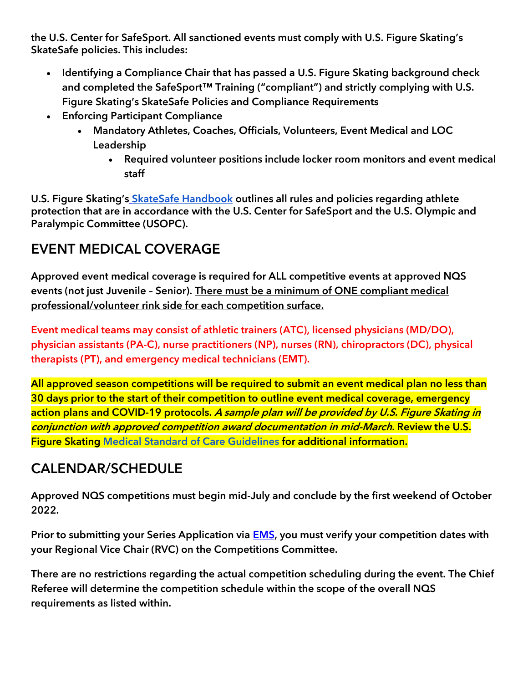the U.S. Center for SafeSport. All sanctioned events must comply with U.S. Figure Skating's SkateSafe policies. This includes:

- Identifying a Compliance Chair that has passed a U.S. Figure Skating background check and completed the SafeSport<sup>™</sup> Training ("compliant") and strictly complying with U.S. Figure Skating's SkateSafe Policies and Compliance Requirements
- Enforcing Participant Compliance
	- Mandatory Athletes, Coaches, Officials, Volunteers, Event Medical and LOC Leadership
		- Required volunteer positions include locker room monitors and event medical staff

U.S. Figure Skating's [SkateSafe Handbook](https://www.usfigureskating.org/skatesafe) outlines all rules and policies regarding athlete protection that are in accordance with the U.S. Center for SafeSport and the U.S. Olympic and Paralympic Committee (USOPC).

# EVENT MEDICAL COVERAGE

Approved event medical coverage is required for ALL competitive events at approved NQS events (not just Juvenile – Senior). There must be a minimum of ONE compliant medical professional/volunteer rink side for each competition surface.

Event medical teams may consist of athletic trainers (ATC), licensed physicians (MD/DO), physician assistants (PA-C), nurse practitioners (NP), nurses (RN), chiropractors (DC), physical therapists (PT), and emergency medical technicians (EMT).

All approved season competitions will be required to submit an event medical plan no less than 30 days prior to the start of their competition to outline event medical coverage, emergency action plans and COVID-19 protocols. A sample plan will be provided by U.S. Figure Skating in conjunction with approved competition award documentation in mid-March. Review the U.S. Figure Skating [Medical Standard of Care Guidelines](https://public.3.basecamp.com/p/pL1fGp1hGai1uAv7SZzzz63F) for additional information.

# CALENDAR/SCHEDULE

Approved NQS competitions must begin mid-July and conclude by the first weekend of October 2022.

**Prior to submitting your Series Application via** [EMS](https://m.usfigureskating.org/competition-registration/)**, you must verify your competition dates with your Regional Vice Chair (RVC) on the Competitions Committee.**

There are no restrictions regarding the actual competition scheduling during the event. The Chief Referee will determine the competition schedule within the scope of the overall NQS requirements as listed within.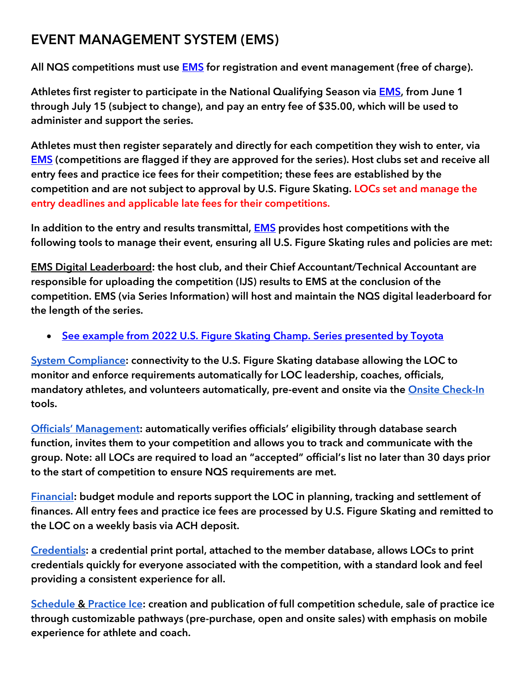# EVENT MANAGEMENT SYSTEM (EMS)

All NQS competitions must use **EMS** for registration and event management (free of charge).

Athletes first register to participate in the National Qualifying Season via [EMS,](https://m.usfigureskating.org/series-registration/) **from June 1 through July 15 (subject to change),** and pay an entry fee of \$35.00, which will be used to administer and support the series.

Athletes must then register separately and directly for each competition they wish to enter, via **[EMS](https://m.usfigureskating.org/competition-registration/)** (competitions are flagged if they are approved for the series). Host clubs set and receive all entry fees and practice ice fees for their competition; these fees are established by the competition and are not subject to approval by U.S. Figure Skating. LOCs set and manage the entry deadlines and applicable late fees for their competitions.

In addition to the entry and results transmittal, **EMS** provides host competitions with the following tools to manage their event, ensuring all U.S. Figure Skating rules and policies are met:

EMS Digital Leaderboard: the host club, and their Chief Accountant/Technical Accountant are responsible for uploading the competition (IJS) results to EMS at the conclusion of the competition. EMS (via Series Information) will host and maintain the NQS digital leaderboard for the length of the series.

• [See example from 2022 U.S. Figure Skating Champ. Series presented by Toyota](https://m.usfigureskating.org/series/standings/7?id=7)

[System Compliance:](https://public.3.basecamp.com/p/6wx1FoKpG3e3EQDJh6wdFsW5) connectivity to the U.S. Figure Skating database allowing the LOC to monitor and enforce requirements automatically for LOC leadership, coaches, officials, mandatory athletes, and volunteers automatically, pre-event and onsite via the [Onsite Check-In](https://public.3.basecamp.com/p/DcAYnTRvvbG11yoSTBQD5yPB) tools.

[Officials' Management:](https://public.3.basecamp.com/p/eQqzWBtz9pxtaAbdS1VpToVE) automatically verifies officials' eligibility through database search function, invites them to your competition and allows you to track and communicate with the group. Note: all LOCs are required to load an "accepted" official's list no later than 30 days prior to the start of competition to ensure NQS requirements are met.

[Financial:](https://public.3.basecamp.com/p/sPoszGGXoeYFU3T4NT6Ht5Uo) budget module and reports support the LOC in planning, tracking and settlement of finances. All entry fees and practice ice fees are processed by U.S. Figure Skating and remitted to the LOC on a weekly basis via ACH deposit.

[Credentials:](https://public.3.basecamp.com/p/HVLguYksf7xiCWWWkxrnU74E) a credential print portal, attached to the member database, allows LOCs to print credentials quickly for everyone associated with the competition, with a standard look and feel providing a consistent experience for all.

[Schedule](https://public.3.basecamp.com/p/MtgsQrtqLLGxoDrtKeEvcthW) & [Practice Ice:](https://public.3.basecamp.com/p/xg3tdtNKz1TExMDQbx6eTcCB) creation and publication of full competition schedule, sale of practice ice through customizable pathways (pre-purchase, open and onsite sales) with emphasis on mobile experience for athlete and coach.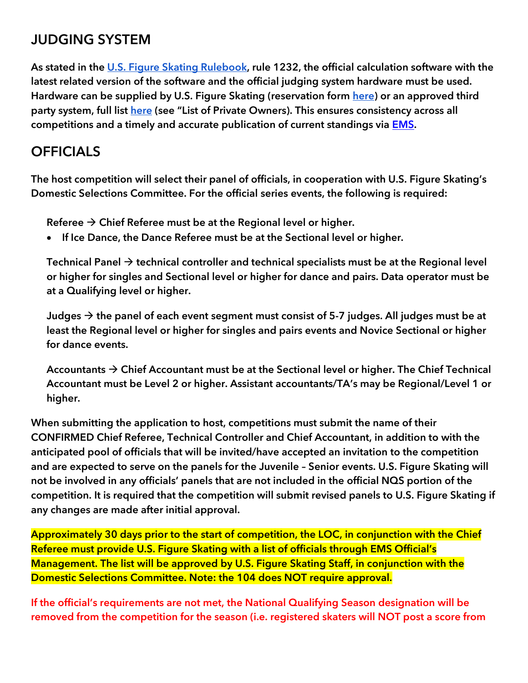## JUDGING SYSTEM

As stated in the [U.S. Figure Skating Rulebook,](https://www.usfigureskating.org/about/rules) rule 1232, the official calculation software with the latest related version of the software and the official judging system hardware must be used. Hardware can be supplied by U.S. Figure Skating (reservation for[m](https://fs12.formsite.com/USFSAIT/IJSRental/form_login.html) [here\)](https://fs12.formsite.com/USFSAIT/IJSRental/form_login.html) or an approved third party system, full list [here](https://www.usfigureskating.org/members-only/clubs/hosting-an-event?mocrToken=Q4m6MkUSdIMBPmRxWLO_TcBFnUaagM2o1XXWVzw8solZz2eGwHL4kkI8NAwDxwXezxpCXO4AiR96jHnAVpFK8T0HbHYsV8FlMQ5PNnxMBmAa8d5OjeoHTEEMGe7Fz2C-c7s3VqUujUmjV2uV8X5hK6njdmEmIM3SB8Cv5EiZpeg9-fJ6jMB-yt6mFeLCNuw4_Wyt783qpc2qhmfc3ABfaKUwZ_hNOUbSAppmTE8R1PQ=) (see "List of Private Owners). This ensures consistency across all competitions and a timely and accurate publication of current standings via [EMS.](https://m.usfigureskating.org/help-and-resources)

# **OFFICIALS**

The host competition will select their panel of officials, in cooperation with U.S. Figure Skating's Domestic Selections Committee. For the official series events, the following is required:

Referee  $\rightarrow$  Chief Referee must be at the Regional level or higher.

If Ice Dance, the Dance Referee must be at the Sectional level or higher.

Technical Panel  $\rightarrow$  technical controller and technical specialists must be at the Regional level or higher for singles and Sectional level or higher for dance and pairs. Data operator must be at a Qualifying level or higher.

Judges  $\rightarrow$  the panel of each event segment must consist of 5-7 judges. All judges must be at least the Regional level or higher for singles and pairs events and Novice Sectional or higher for dance events.

Accountants  $\rightarrow$  Chief Accountant must be at the Sectional level or higher. The Chief Technical Accountant must be Level 2 or higher. Assistant accountants/TA's may be Regional/Level 1 or higher.

When submitting the application to host, competitions must submit the name of their CONFIRMED Chief Referee, Technical Controller and Chief Accountant, in addition to with the anticipated pool of officials that will be invited/have accepted an invitation to the competition and are expected to serve on the panels for the Juvenile – Senior events. U.S. Figure Skating will not be involved in any officials' panels that are not included in the official NQS portion of the competition. It is required that the competition will submit revised panels to U.S. Figure Skating if any changes are made after initial approval.

Approximately 30 days prior to the start of competition, the LOC, in conjunction with the Chief Referee must provide U.S. Figure Skating with a list of officials through EMS Official's Management. The list will be approved by U.S. Figure Skating Staff, in conjunction with the Domestic Selections Committee. Note: the 104 does NOT require approval.

**If the official's requirements are not met, the National Qualifying Season designation will be removed from the competition for the season (i.e. registered skaters will NOT post a score from**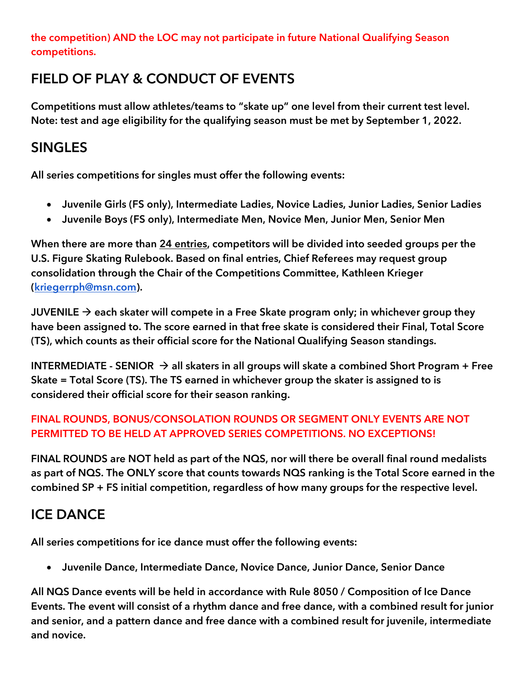**the competition) AND the LOC may not participate in future National Qualifying Season competitions.** 

### FIELD OF PLAY & CONDUCT OF EVENTS

Competitions must allow athletes/teams to "skate up" one level from their current test level. Note: test and age eligibility for the qualifying season must be met by September 1, 2022.

### SINGLES

All series competitions for singles must offer the following events:

- Juvenile Girls (FS only), Intermediate Ladies, Novice Ladies, Junior Ladies, Senior Ladies
- Juvenile Boys (FS only), Intermediate Men, Novice Men, Junior Men, Senior Men

When there are more than 24 entries, competitors will be divided into seeded groups per the U.S. Figure Skating Rulebook. Based on final entries, Chief Referees may request group consolidation through the Chair of the Competitions Committee, Kathleen Krieger [\(kriegerrph@msn.com\)](mailto:kriegerrph@msn.com).

**JUVENILE**  $\rightarrow$  each skater will compete in a Free Skate program only; in whichever group they have been assigned to. The score earned in that free skate is considered their Final, Total Score (TS), which counts as their official score for the National Qualifying Season standings.

**INTERMEDIATE - SENIOR** → all skaters in all groups will skate a combined Short Program + Free Skate = Total Score (TS). The TS earned in whichever group the skater is assigned to is considered their official score for their season ranking.

### FINAL ROUNDS, BONUS/CONSOLATION ROUNDS OR SEGMENT ONLY EVENTS ARE NOT PERMITTED TO BE HELD AT APPROVED SERIES COMPETITIONS. NO EXCEPTIONS!

FINAL ROUNDS are NOT held as part of the NQS, nor will there be overall final round medalists as part of NQS. The ONLY score that counts towards NQS ranking is the Total Score earned in the combined SP + FS initial competition, regardless of how many groups for the respective level.

# ICE DANCE

All series competitions for ice dance must offer the following events:

• Juvenile Dance, Intermediate Dance, Novice Dance, Junior Dance, Senior Dance

All NQS Dance events will be held in accordance with Rule 8050 / Composition of Ice Dance Events. The event will consist of a rhythm dance and free dance, with a combined result for junior and senior, and a pattern dance and free dance with a combined result for juvenile, intermediate and novice.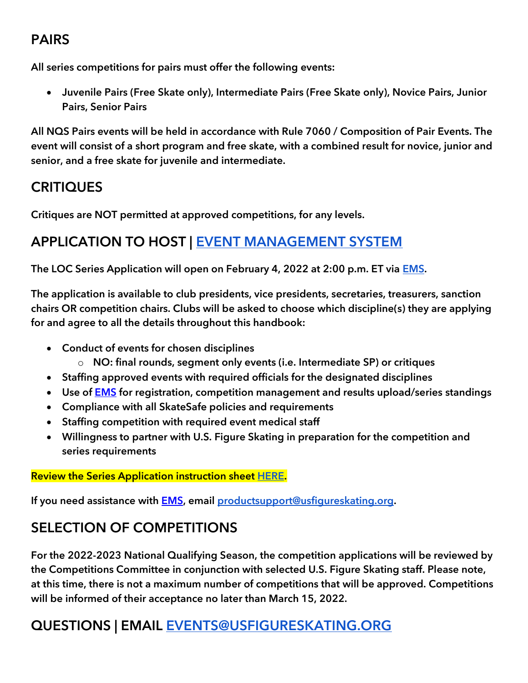# PAIRS

All series competitions for pairs must offer the following events:

• Juvenile Pairs (Free Skate only), Intermediate Pairs (Free Skate only), Novice Pairs, Junior Pairs, Senior Pairs

All NQS Pairs events will be held in accordance with Rule 7060 / Composition of Pair Events. The event will consist of a short program and free skate, with a combined result for novice, junior and senior, and a free skate for juvenile and intermediate.

## **CRITIQUES**

Critiques are NOT permitted at approved competitions, for any levels.

# APPLICATION TO HOST | [EVENT MANAGEMENT SYSTEM](https://www.usfsaonline.org/EMS/Application/Index)

The LOC Series Application will open on February 4, 2022 at 2:00 p.m. ET via **EMS**.

The application is available to club presidents, vice presidents, secretaries, treasurers, sanction chairs OR competition chairs. Clubs will be asked to choose which discipline(s) they are applying for and agree to all the details throughout this handbook:

- Conduct of events for chosen disciplines
	- o NO: final rounds, segment only events (i.e. Intermediate SP) or critiques
- Staffing approved events with required officials for the designated disciplines
- Use of **EMS** for registration, competition management and results upload/series standings
- Compliance with all SkateSafe policies and requirements
- Staffing competition with required event medical staff
- Willingness to partner with U.S. Figure Skating in preparation for the competition and series requirements

### Review the Series Application instruction shee[t](https://public.3.basecamp.com/p/LUJuerDeY2vtX5YehrSNA9Dq) [HERE.](https://public.3.basecamp.com/p/LUJuerDeY2vtX5YehrSNA9Dq)

If you need assistance with **EMS**, email [productsupport@usfigureskating.org.](mailto:productsupport@usfigureskating.org)

# SELECTION OF COMPETITIONS

For the 2022-2023 National Qualifying Season, the competition applications will be reviewed by the Competitions Committee in conjunction with selected U.S. Figure Skating staff. Please note, at this time, there is not a maximum number of competitions that will be approved. Competitions will be informed of their acceptance no later than March 15, 2022.

# QUESTIONS | EMAIL [EVENTS@USFIGURESKATING.ORG](mailto:EVENTS@USFIGURESKATING.ORG)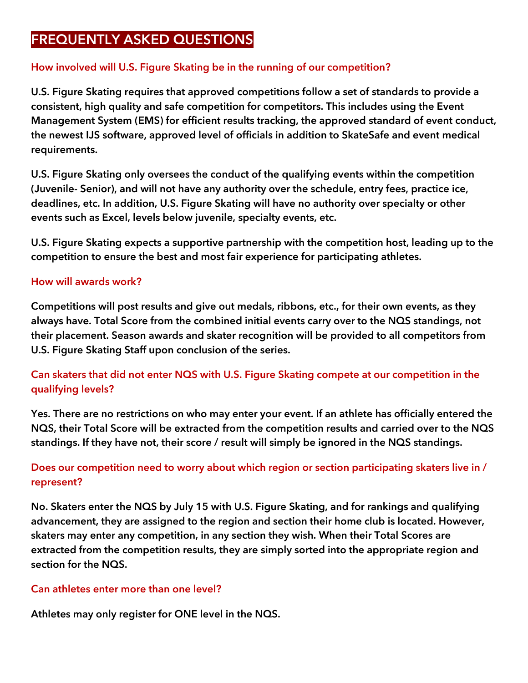### FREQUENTLY ASKED QUESTIONS

### How involved will U.S. Figure Skating be in the running of our competition?

U.S. Figure Skating requires that approved competitions follow a set of standards to provide a consistent, high quality and safe competition for competitors. This includes using the Event Management System (EMS) for efficient results tracking, the approved standard of event conduct, the newest IJS software, approved level of officials in addition to SkateSafe and event medical requirements.

U.S. Figure Skating only oversees the conduct of the qualifying events within the competition (Juvenile- Senior), and will not have any authority over the schedule, entry fees, practice ice, deadlines, etc. In addition, U.S. Figure Skating will have no authority over specialty or other events such as Excel, levels below juvenile, specialty events, etc.

U.S. Figure Skating expects a supportive partnership with the competition host, leading up to the competition to ensure the best and most fair experience for participating athletes.

### How will awards work?

Competitions will post results and give out medals, ribbons, etc., for their own events, as they always have. Total Score from the combined initial events carry over to the NQS standings, not their placement. Season awards and skater recognition will be provided to all competitors from U.S. Figure Skating Staff upon conclusion of the series.

### Can skaters that did not enter NQS with U.S. Figure Skating compete at our competition in the qualifying levels?

Yes. There are no restrictions on who may enter your event. If an athlete has officially entered the NQS, their Total Score will be extracted from the competition results and carried over to the NQS standings. If they have not, their score / result will simply be ignored in the NQS standings.

### Does our competition need to worry about which region or section participating skaters live in / represent?

No. Skaters enter the NQS by July 15 with U.S. Figure Skating, and for rankings and qualifying advancement, they are assigned to the region and section their home club is located. However, skaters may enter any competition, in any section they wish. When their Total Scores are extracted from the competition results, they are simply sorted into the appropriate region and section for the NQS.

### Can athletes enter more than one level?

Athletes may only register for ONE level in the NQS.